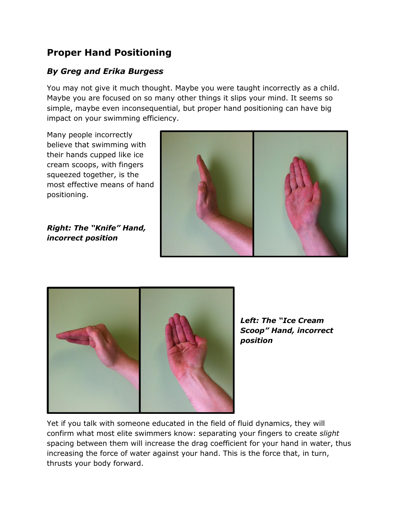## **Proper Hand Positioning**

## *By Greg and Erika Burgess*

You may not give it much thought. Maybe you were taught incorrectly as a child. Maybe you are focused on so many other things it slips your mind. It seems so simple, maybe even inconsequential, but proper hand positioning can have big impact on your swimming efficiency.

Many people incorrectly believe that swimming with their hands cupped like ice cream scoops, with fingers squeezed together, is the most effective means of hand positioning.

*Right: The "Knife" Hand, incorrect position*





*Left: The "Ice Cream Scoop" Hand, incorrect position*

Yet if you talk with someone educated in the field of fluid dynamics, they will confirm what most elite swimmers know: separating your fingers to create *slight* spacing between them will increase the drag coefficient for your hand in water, thus increasing the force of water against your hand. This is the force that, in turn, thrusts your body forward.